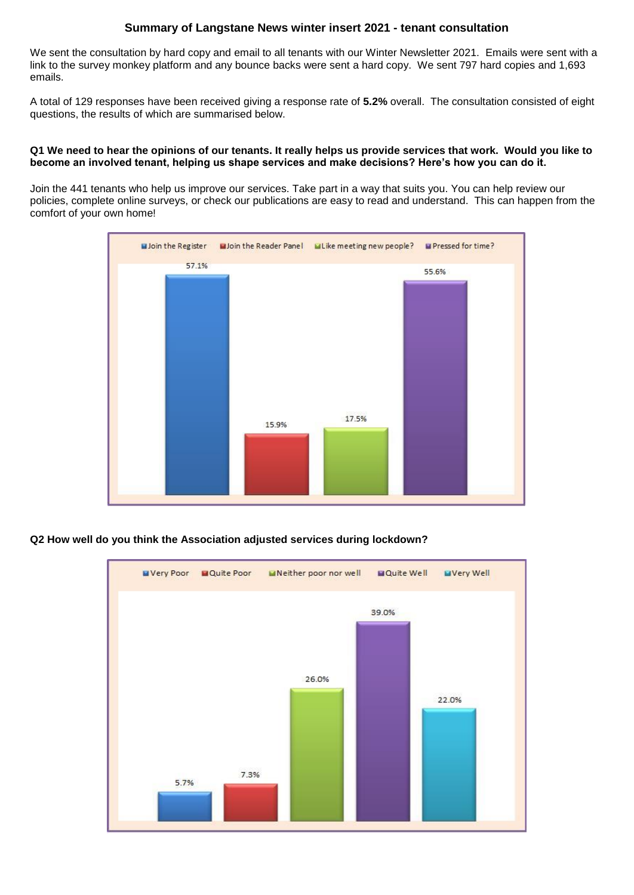# **Summary of Langstane News winter insert 2021 - tenant consultation**

We sent the consultation by hard copy and email to all tenants with our Winter Newsletter 2021. Emails were sent with a link to the survey monkey platform and any bounce backs were sent a hard copy. We sent 797 hard copies and 1,693 emails.

A total of 129 responses have been received giving a response rate of **5.2%** overall. The consultation consisted of eight questions, the results of which are summarised below.

## **Q1 We need to hear the opinions of our tenants. It really helps us provide services that work. Would you like to become an involved tenant, helping us shape services and make decisions? Here's how you can do it.**

Join the 441 tenants who help us improve our services. Take part in a way that suits you. You can help review our policies, complete online surveys, or check our publications are easy to read and understand. This can happen from the comfort of your own home!



**Q2 How well do you think the Association adjusted services during lockdown?**

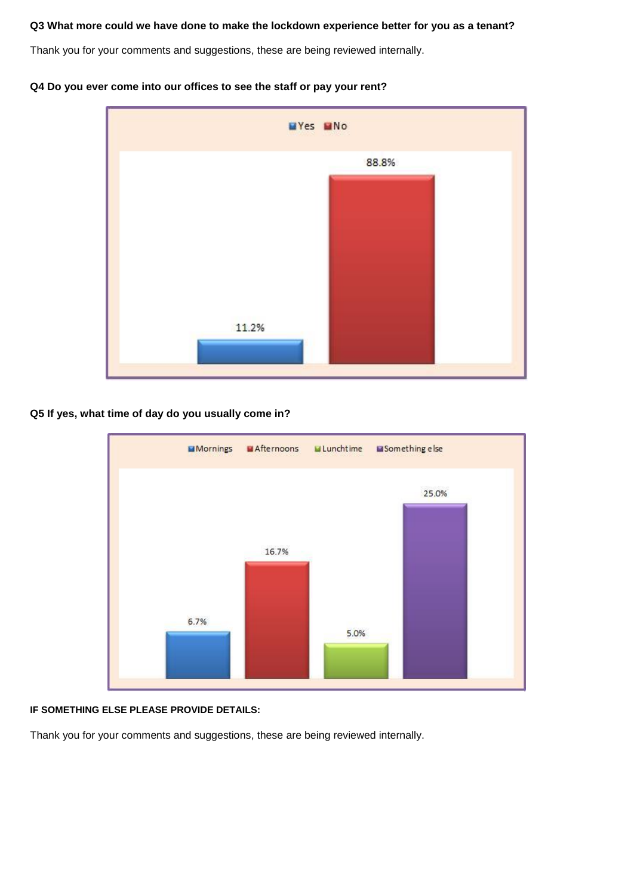# **Q3 What more could we have done to make the lockdown experience better for you as a tenant?**

Thank you for your comments and suggestions, these are being reviewed internally.





# **Q5 If yes, what time of day do you usually come in?**



### **IF SOMETHING ELSE PLEASE PROVIDE DETAILS:**

Thank you for your comments and suggestions, these are being reviewed internally.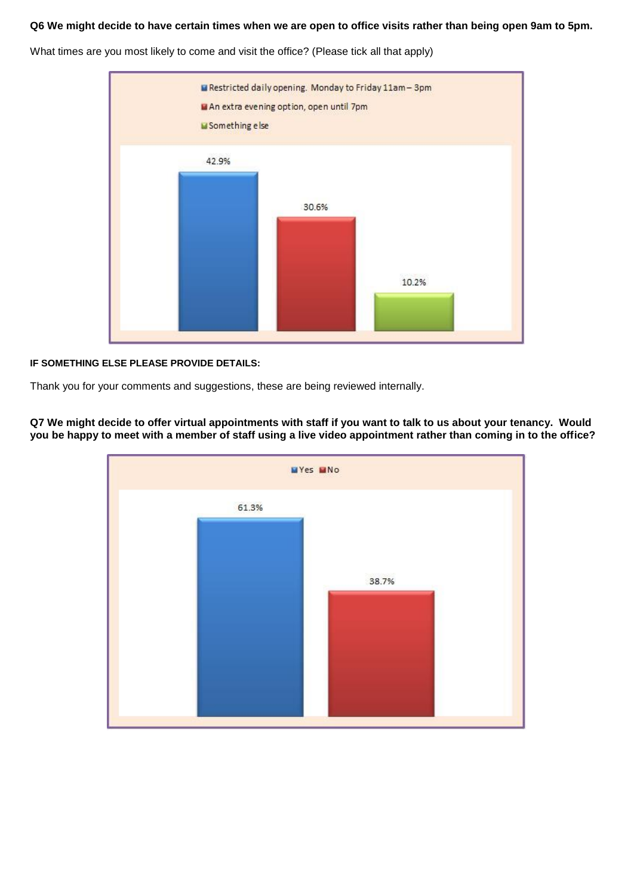# **Q6 We might decide to have certain times when we are open to office visits rather than being open 9am to 5pm.**

What times are you most likely to come and visit the office? (Please tick all that apply)



## **IF SOMETHING ELSE PLEASE PROVIDE DETAILS:**

Thank you for your comments and suggestions, these are being reviewed internally.

WYes WNo 61.3% 38.7%

**Q7 We might decide to offer virtual appointments with staff if you want to talk to us about your tenancy. Would you be happy to meet with a member of staff using a live video appointment rather than coming in to the office?**